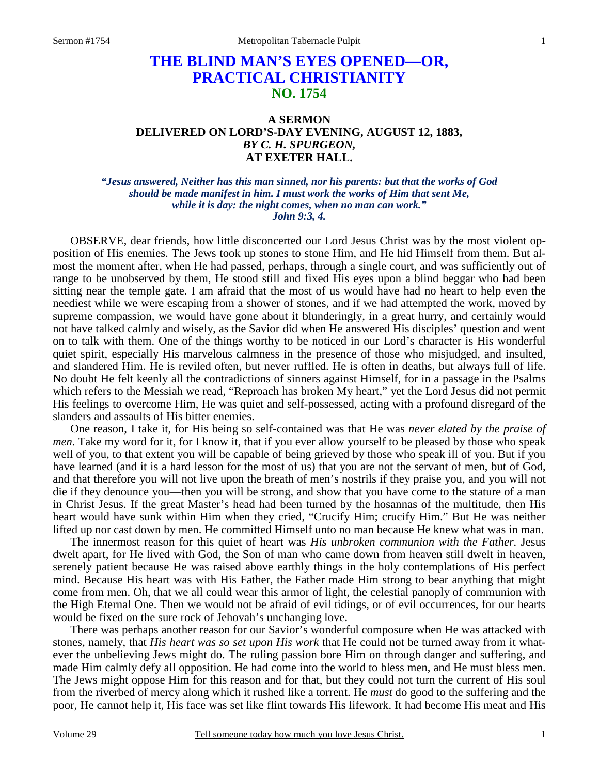## **THE BLIND MAN'S EYES OPENED—OR, PRACTICAL CHRISTIANITY NO. 1754**

## **A SERMON DELIVERED ON LORD'S-DAY EVENING, AUGUST 12, 1883,**  *BY C. H. SPURGEON,*  **AT EXETER HALL.**

*"Jesus answered, Neither has this man sinned, nor his parents: but that the works of God should be made manifest in him. I must work the works of Him that sent Me, while it is day: the night comes, when no man can work." John 9:3, 4.* 

OBSERVE, dear friends, how little disconcerted our Lord Jesus Christ was by the most violent opposition of His enemies. The Jews took up stones to stone Him, and He hid Himself from them. But almost the moment after, when He had passed, perhaps, through a single court, and was sufficiently out of range to be unobserved by them, He stood still and fixed His eyes upon a blind beggar who had been sitting near the temple gate. I am afraid that the most of us would have had no heart to help even the neediest while we were escaping from a shower of stones, and if we had attempted the work, moved by supreme compassion, we would have gone about it blunderingly, in a great hurry, and certainly would not have talked calmly and wisely, as the Savior did when He answered His disciples' question and went on to talk with them. One of the things worthy to be noticed in our Lord's character is His wonderful quiet spirit, especially His marvelous calmness in the presence of those who misjudged, and insulted, and slandered Him. He is reviled often, but never ruffled. He is often in deaths, but always full of life. No doubt He felt keenly all the contradictions of sinners against Himself, for in a passage in the Psalms which refers to the Messiah we read, "Reproach has broken My heart," yet the Lord Jesus did not permit His feelings to overcome Him, He was quiet and self-possessed, acting with a profound disregard of the slanders and assaults of His bitter enemies.

 One reason, I take it, for His being so self-contained was that He was *never elated by the praise of men.* Take my word for it, for I know it, that if you ever allow yourself to be pleased by those who speak well of you, to that extent you will be capable of being grieved by those who speak ill of you. But if you have learned (and it is a hard lesson for the most of us) that you are not the servant of men, but of God, and that therefore you will not live upon the breath of men's nostrils if they praise you, and you will not die if they denounce you—then you will be strong, and show that you have come to the stature of a man in Christ Jesus. If the great Master's head had been turned by the hosannas of the multitude, then His heart would have sunk within Him when they cried, "Crucify Him; crucify Him." But He was neither lifted up nor cast down by men. He committed Himself unto no man because He knew what was in man.

 The innermost reason for this quiet of heart was *His unbroken communion with the Father.* Jesus dwelt apart, for He lived with God, the Son of man who came down from heaven still dwelt in heaven, serenely patient because He was raised above earthly things in the holy contemplations of His perfect mind. Because His heart was with His Father, the Father made Him strong to bear anything that might come from men. Oh, that we all could wear this armor of light, the celestial panoply of communion with the High Eternal One. Then we would not be afraid of evil tidings, or of evil occurrences, for our hearts would be fixed on the sure rock of Jehovah's unchanging love.

 There was perhaps another reason for our Savior's wonderful composure when He was attacked with stones, namely, that *His heart was so set upon His work* that He could not be turned away from it whatever the unbelieving Jews might do. The ruling passion bore Him on through danger and suffering, and made Him calmly defy all opposition. He had come into the world to bless men, and He must bless men. The Jews might oppose Him for this reason and for that, but they could not turn the current of His soul from the riverbed of mercy along which it rushed like a torrent. He *must* do good to the suffering and the poor, He cannot help it, His face was set like flint towards His lifework. It had become His meat and His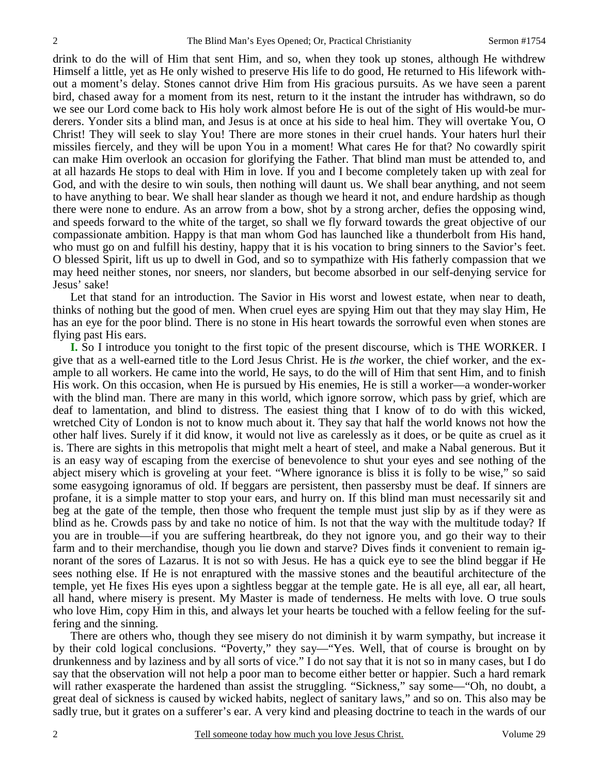drink to do the will of Him that sent Him, and so, when they took up stones, although He withdrew Himself a little, yet as He only wished to preserve His life to do good, He returned to His lifework without a moment's delay. Stones cannot drive Him from His gracious pursuits. As we have seen a parent bird, chased away for a moment from its nest, return to it the instant the intruder has withdrawn, so do we see our Lord come back to His holy work almost before He is out of the sight of His would-be murderers. Yonder sits a blind man, and Jesus is at once at his side to heal him. They will overtake You, O Christ! They will seek to slay You! There are more stones in their cruel hands. Your haters hurl their missiles fiercely, and they will be upon You in a moment! What cares He for that? No cowardly spirit can make Him overlook an occasion for glorifying the Father. That blind man must be attended to, and at all hazards He stops to deal with Him in love. If you and I become completely taken up with zeal for God, and with the desire to win souls, then nothing will daunt us. We shall bear anything, and not seem to have anything to bear. We shall hear slander as though we heard it not, and endure hardship as though there were none to endure. As an arrow from a bow, shot by a strong archer, defies the opposing wind, and speeds forward to the white of the target, so shall we fly forward towards the great objective of our compassionate ambition. Happy is that man whom God has launched like a thunderbolt from His hand, who must go on and fulfill his destiny, happy that it is his vocation to bring sinners to the Savior's feet. O blessed Spirit, lift us up to dwell in God, and so to sympathize with His fatherly compassion that we may heed neither stones, nor sneers, nor slanders, but become absorbed in our self-denying service for Jesus' sake!

 Let that stand for an introduction. The Savior in His worst and lowest estate, when near to death, thinks of nothing but the good of men. When cruel eyes are spying Him out that they may slay Him, He has an eye for the poor blind. There is no stone in His heart towards the sorrowful even when stones are flying past His ears.

**I.** So I introduce you tonight to the first topic of the present discourse, which is THE WORKER. I give that as a well-earned title to the Lord Jesus Christ. He is *the* worker, the chief worker, and the example to all workers. He came into the world, He says, to do the will of Him that sent Him, and to finish His work. On this occasion, when He is pursued by His enemies, He is still a worker—a wonder-worker with the blind man. There are many in this world, which ignore sorrow, which pass by grief, which are deaf to lamentation, and blind to distress. The easiest thing that I know of to do with this wicked, wretched City of London is not to know much about it. They say that half the world knows not how the other half lives. Surely if it did know, it would not live as carelessly as it does, or be quite as cruel as it is. There are sights in this metropolis that might melt a heart of steel, and make a Nabal generous. But it is an easy way of escaping from the exercise of benevolence to shut your eyes and see nothing of the abject misery which is groveling at your feet. "Where ignorance is bliss it is folly to be wise," so said some easygoing ignoramus of old. If beggars are persistent, then passersby must be deaf. If sinners are profane, it is a simple matter to stop your ears, and hurry on. If this blind man must necessarily sit and beg at the gate of the temple, then those who frequent the temple must just slip by as if they were as blind as he. Crowds pass by and take no notice of him. Is not that the way with the multitude today? If you are in trouble—if you are suffering heartbreak, do they not ignore you, and go their way to their farm and to their merchandise, though you lie down and starve? Dives finds it convenient to remain ignorant of the sores of Lazarus. It is not so with Jesus. He has a quick eye to see the blind beggar if He sees nothing else. If He is not enraptured with the massive stones and the beautiful architecture of the temple, yet He fixes His eyes upon a sightless beggar at the temple gate. He is all eye, all ear, all heart, all hand, where misery is present. My Master is made of tenderness. He melts with love. O true souls who love Him, copy Him in this, and always let your hearts be touched with a fellow feeling for the suffering and the sinning.

 There are others who, though they see misery do not diminish it by warm sympathy, but increase it by their cold logical conclusions. "Poverty," they say—"Yes. Well, that of course is brought on by drunkenness and by laziness and by all sorts of vice." I do not say that it is not so in many cases, but I do say that the observation will not help a poor man to become either better or happier. Such a hard remark will rather exasperate the hardened than assist the struggling. "Sickness," say some—"Oh, no doubt, a great deal of sickness is caused by wicked habits, neglect of sanitary laws," and so on. This also may be sadly true, but it grates on a sufferer's ear. A very kind and pleasing doctrine to teach in the wards of our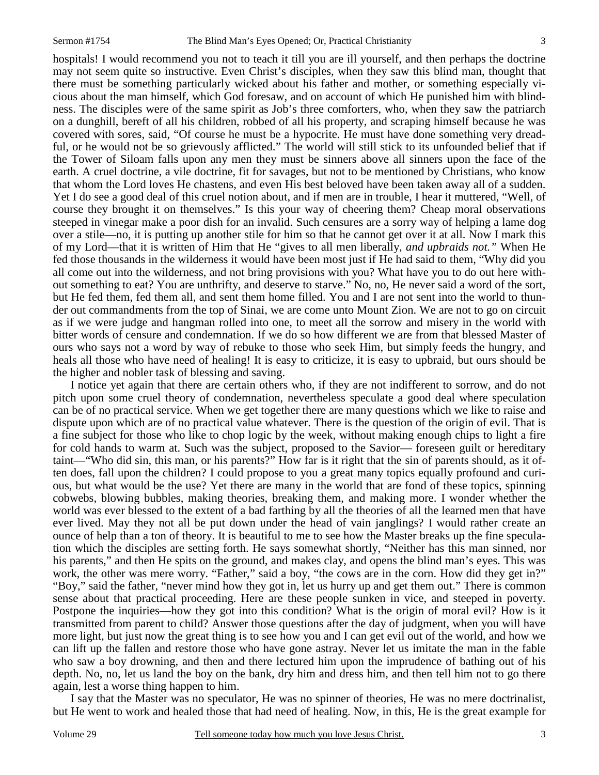hospitals! I would recommend you not to teach it till you are ill yourself, and then perhaps the doctrine may not seem quite so instructive. Even Christ's disciples, when they saw this blind man, thought that there must be something particularly wicked about his father and mother, or something especially vicious about the man himself, which God foresaw, and on account of which He punished him with blindness. The disciples were of the same spirit as Job's three comforters, who, when they saw the patriarch on a dunghill, bereft of all his children, robbed of all his property, and scraping himself because he was covered with sores, said, "Of course he must be a hypocrite. He must have done something very dreadful, or he would not be so grievously afflicted." The world will still stick to its unfounded belief that if the Tower of Siloam falls upon any men they must be sinners above all sinners upon the face of the earth. A cruel doctrine, a vile doctrine, fit for savages, but not to be mentioned by Christians, who know that whom the Lord loves He chastens, and even His best beloved have been taken away all of a sudden. Yet I do see a good deal of this cruel notion about, and if men are in trouble, I hear it muttered, "Well, of course they brought it on themselves." Is this your way of cheering them? Cheap moral observations steeped in vinegar make a poor dish for an invalid. Such censures are a sorry way of helping a lame dog over a stile—no, it is putting up another stile for him so that he cannot get over it at all. Now I mark this of my Lord—that it is written of Him that He "gives to all men liberally, *and upbraids not."* When He fed those thousands in the wilderness it would have been most just if He had said to them, "Why did you all come out into the wilderness, and not bring provisions with you? What have you to do out here without something to eat? You are unthrifty, and deserve to starve." No, no, He never said a word of the sort, but He fed them, fed them all, and sent them home filled. You and I are not sent into the world to thunder out commandments from the top of Sinai, we are come unto Mount Zion. We are not to go on circuit as if we were judge and hangman rolled into one, to meet all the sorrow and misery in the world with bitter words of censure and condemnation. If we do so how different we are from that blessed Master of ours who says not a word by way of rebuke to those who seek Him, but simply feeds the hungry, and heals all those who have need of healing! It is easy to criticize, it is easy to upbraid, but ours should be the higher and nobler task of blessing and saving.

 I notice yet again that there are certain others who, if they are not indifferent to sorrow, and do not pitch upon some cruel theory of condemnation, nevertheless speculate a good deal where speculation can be of no practical service. When we get together there are many questions which we like to raise and dispute upon which are of no practical value whatever. There is the question of the origin of evil. That is a fine subject for those who like to chop logic by the week, without making enough chips to light a fire for cold hands to warm at. Such was the subject, proposed to the Savior— foreseen guilt or hereditary taint—"Who did sin, this man, or his parents?" How far is it right that the sin of parents should, as it often does, fall upon the children? I could propose to you a great many topics equally profound and curious, but what would be the use? Yet there are many in the world that are fond of these topics, spinning cobwebs, blowing bubbles, making theories, breaking them, and making more. I wonder whether the world was ever blessed to the extent of a bad farthing by all the theories of all the learned men that have ever lived. May they not all be put down under the head of vain janglings? I would rather create an ounce of help than a ton of theory. It is beautiful to me to see how the Master breaks up the fine speculation which the disciples are setting forth. He says somewhat shortly, "Neither has this man sinned, nor his parents," and then He spits on the ground, and makes clay, and opens the blind man's eyes. This was work, the other was mere worry. "Father," said a boy, "the cows are in the corn. How did they get in?" "Boy," said the father, "never mind how they got in, let us hurry up and get them out." There is common sense about that practical proceeding. Here are these people sunken in vice, and steeped in poverty. Postpone the inquiries—how they got into this condition? What is the origin of moral evil? How is it transmitted from parent to child? Answer those questions after the day of judgment, when you will have more light, but just now the great thing is to see how you and I can get evil out of the world, and how we can lift up the fallen and restore those who have gone astray. Never let us imitate the man in the fable who saw a boy drowning, and then and there lectured him upon the imprudence of bathing out of his depth. No, no, let us land the boy on the bank, dry him and dress him, and then tell him not to go there again, lest a worse thing happen to him.

 I say that the Master was no speculator, He was no spinner of theories, He was no mere doctrinalist, but He went to work and healed those that had need of healing. Now, in this, He is the great example for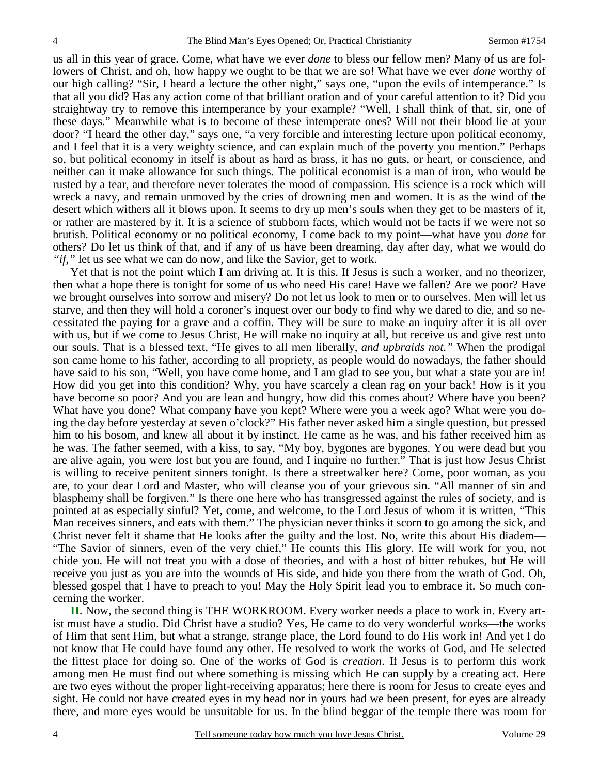us all in this year of grace. Come, what have we ever *done* to bless our fellow men? Many of us are followers of Christ, and oh, how happy we ought to be that we are so! What have we ever *done* worthy of our high calling? "Sir, I heard a lecture the other night," says one, "upon the evils of intemperance." Is that all you did? Has any action come of that brilliant oration and of your careful attention to it? Did you straightway try to remove this intemperance by your example? "Well, I shall think of that, sir, one of these days." Meanwhile what is to become of these intemperate ones? Will not their blood lie at your door? "I heard the other day," says one, "a very forcible and interesting lecture upon political economy, and I feel that it is a very weighty science, and can explain much of the poverty you mention." Perhaps so, but political economy in itself is about as hard as brass, it has no guts, or heart, or conscience, and neither can it make allowance for such things. The political economist is a man of iron, who would be rusted by a tear, and therefore never tolerates the mood of compassion. His science is a rock which will wreck a navy, and remain unmoved by the cries of drowning men and women. It is as the wind of the desert which withers all it blows upon. It seems to dry up men's souls when they get to be masters of it, or rather are mastered by it. It is a science of stubborn facts, which would not be facts if we were not so brutish. Political economy or no political economy, I come back to my point—what have you *done* for others? Do let us think of that, and if any of us have been dreaming, day after day, what we would do *"if,"* let us see what we can do now, and like the Savior, get to work.

 Yet that is not the point which I am driving at. It is this. If Jesus is such a worker, and no theorizer, then what a hope there is tonight for some of us who need His care! Have we fallen? Are we poor? Have we brought ourselves into sorrow and misery? Do not let us look to men or to ourselves. Men will let us starve, and then they will hold a coroner's inquest over our body to find why we dared to die, and so necessitated the paying for a grave and a coffin. They will be sure to make an inquiry after it is all over with us, but if we come to Jesus Christ, He will make no inquiry at all, but receive us and give rest unto our souls. That is a blessed text, "He gives to all men liberally, *and upbraids not."* When the prodigal son came home to his father, according to all propriety, as people would do nowadays, the father should have said to his son, "Well, you have come home, and I am glad to see you, but what a state you are in! How did you get into this condition? Why, you have scarcely a clean rag on your back! How is it you have become so poor? And you are lean and hungry, how did this comes about? Where have you been? What have you done? What company have you kept? Where were you a week ago? What were you doing the day before yesterday at seven o'clock?" His father never asked him a single question, but pressed him to his bosom, and knew all about it by instinct. He came as he was, and his father received him as he was. The father seemed, with a kiss, to say, "My boy, bygones are bygones. You were dead but you are alive again, you were lost but you are found, and I inquire no further." That is just how Jesus Christ is willing to receive penitent sinners tonight. Is there a streetwalker here? Come, poor woman, as you are, to your dear Lord and Master, who will cleanse you of your grievous sin. "All manner of sin and blasphemy shall be forgiven." Is there one here who has transgressed against the rules of society, and is pointed at as especially sinful? Yet, come, and welcome, to the Lord Jesus of whom it is written, "This Man receives sinners, and eats with them." The physician never thinks it scorn to go among the sick, and Christ never felt it shame that He looks after the guilty and the lost. No, write this about His diadem— "The Savior of sinners, even of the very chief," He counts this His glory. He will work for you, not chide you. He will not treat you with a dose of theories, and with a host of bitter rebukes, but He will receive you just as you are into the wounds of His side, and hide you there from the wrath of God. Oh, blessed gospel that I have to preach to you! May the Holy Spirit lead you to embrace it. So much concerning the worker.

**II.** Now, the second thing is THE WORKROOM. Every worker needs a place to work in. Every artist must have a studio. Did Christ have a studio? Yes, He came to do very wonderful works—the works of Him that sent Him, but what a strange, strange place, the Lord found to do His work in! And yet I do not know that He could have found any other. He resolved to work the works of God, and He selected the fittest place for doing so. One of the works of God is *creation*. If Jesus is to perform this work among men He must find out where something is missing which He can supply by a creating act. Here are two eyes without the proper light-receiving apparatus; here there is room for Jesus to create eyes and sight. He could not have created eyes in my head nor in yours had we been present, for eyes are already there, and more eyes would be unsuitable for us. In the blind beggar of the temple there was room for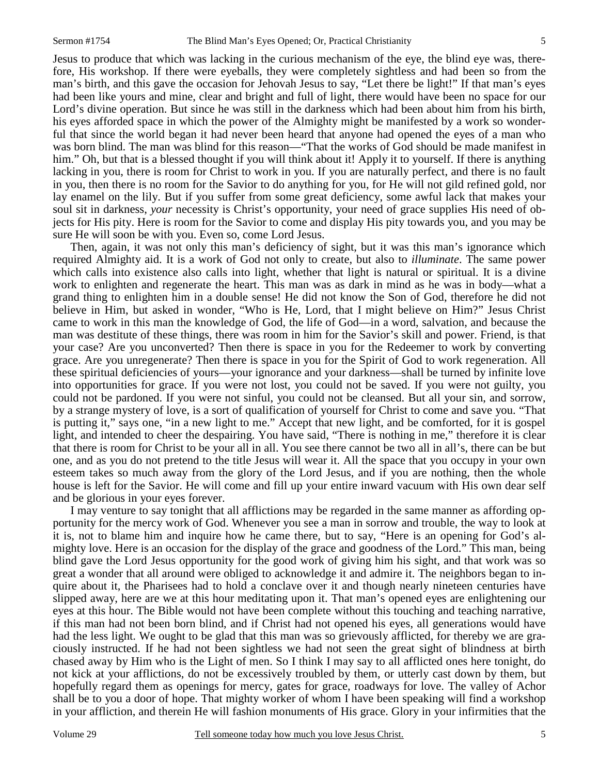Jesus to produce that which was lacking in the curious mechanism of the eye, the blind eye was, therefore, His workshop. If there were eyeballs, they were completely sightless and had been so from the man's birth, and this gave the occasion for Jehovah Jesus to say, "Let there be light!" If that man's eyes had been like yours and mine, clear and bright and full of light, there would have been no space for our Lord's divine operation. But since he was still in the darkness which had been about him from his birth, his eyes afforded space in which the power of the Almighty might be manifested by a work so wonderful that since the world began it had never been heard that anyone had opened the eyes of a man who was born blind. The man was blind for this reason—"That the works of God should be made manifest in him." Oh, but that is a blessed thought if you will think about it! Apply it to yourself. If there is anything lacking in you, there is room for Christ to work in you. If you are naturally perfect, and there is no fault in you, then there is no room for the Savior to do anything for you, for He will not gild refined gold, nor lay enamel on the lily. But if you suffer from some great deficiency, some awful lack that makes your soul sit in darkness, *your* necessity is Christ's opportunity, your need of grace supplies His need of objects for His pity. Here is room for the Savior to come and display His pity towards you, and you may be sure He will soon be with you. Even so, come Lord Jesus.

 Then, again, it was not only this man's deficiency of sight, but it was this man's ignorance which required Almighty aid. It is a work of God not only to create, but also to *illuminate*. The same power which calls into existence also calls into light, whether that light is natural or spiritual. It is a divine work to enlighten and regenerate the heart. This man was as dark in mind as he was in body—what a grand thing to enlighten him in a double sense! He did not know the Son of God, therefore he did not believe in Him, but asked in wonder, "Who is He, Lord, that I might believe on Him?" Jesus Christ came to work in this man the knowledge of God, the life of God—in a word, salvation, and because the man was destitute of these things, there was room in him for the Savior's skill and power. Friend, is that your case? Are you unconverted? Then there is space in you for the Redeemer to work by converting grace. Are you unregenerate? Then there is space in you for the Spirit of God to work regeneration. All these spiritual deficiencies of yours—your ignorance and your darkness—shall be turned by infinite love into opportunities for grace. If you were not lost, you could not be saved. If you were not guilty, you could not be pardoned. If you were not sinful, you could not be cleansed. But all your sin, and sorrow, by a strange mystery of love, is a sort of qualification of yourself for Christ to come and save you. "That is putting it," says one, "in a new light to me." Accept that new light, and be comforted, for it is gospel light, and intended to cheer the despairing. You have said, "There is nothing in me," therefore it is clear that there is room for Christ to be your all in all. You see there cannot be two all in all's, there can be but one, and as you do not pretend to the title Jesus will wear it. All the space that you occupy in your own esteem takes so much away from the glory of the Lord Jesus, and if you are nothing, then the whole house is left for the Savior. He will come and fill up your entire inward vacuum with His own dear self and be glorious in your eyes forever.

 I may venture to say tonight that all afflictions may be regarded in the same manner as affording opportunity for the mercy work of God. Whenever you see a man in sorrow and trouble, the way to look at it is, not to blame him and inquire how he came there, but to say, "Here is an opening for God's almighty love. Here is an occasion for the display of the grace and goodness of the Lord." This man, being blind gave the Lord Jesus opportunity for the good work of giving him his sight, and that work was so great a wonder that all around were obliged to acknowledge it and admire it. The neighbors began to inquire about it, the Pharisees had to hold a conclave over it and though nearly nineteen centuries have slipped away, here are we at this hour meditating upon it. That man's opened eyes are enlightening our eyes at this hour. The Bible would not have been complete without this touching and teaching narrative, if this man had not been born blind, and if Christ had not opened his eyes, all generations would have had the less light. We ought to be glad that this man was so grievously afflicted, for thereby we are graciously instructed. If he had not been sightless we had not seen the great sight of blindness at birth chased away by Him who is the Light of men. So I think I may say to all afflicted ones here tonight, do not kick at your afflictions, do not be excessively troubled by them, or utterly cast down by them, but hopefully regard them as openings for mercy, gates for grace, roadways for love. The valley of Achor shall be to you a door of hope. That mighty worker of whom I have been speaking will find a workshop in your affliction, and therein He will fashion monuments of His grace. Glory in your infirmities that the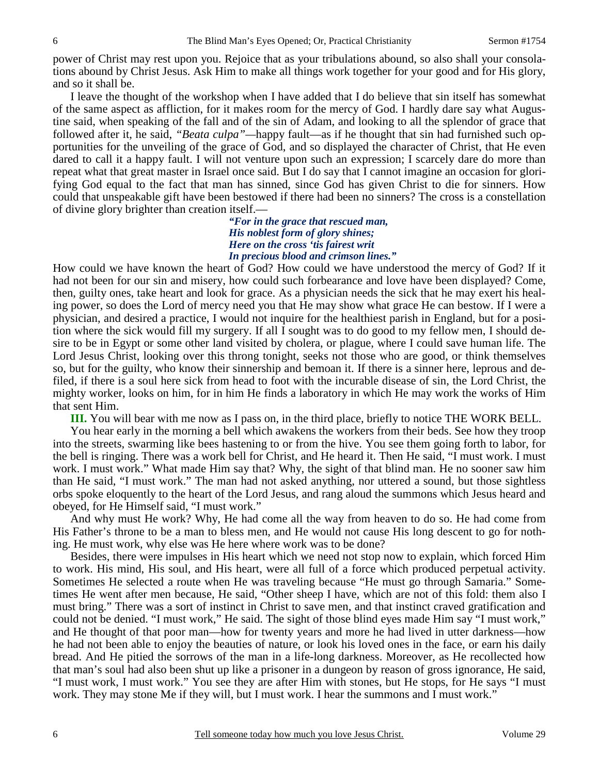power of Christ may rest upon you. Rejoice that as your tribulations abound, so also shall your consolations abound by Christ Jesus. Ask Him to make all things work together for your good and for His glory, and so it shall be.

 I leave the thought of the workshop when I have added that I do believe that sin itself has somewhat of the same aspect as affliction, for it makes room for the mercy of God. I hardly dare say what Augustine said, when speaking of the fall and of the sin of Adam, and looking to all the splendor of grace that followed after it, he said, *"Beata culpa"—*happy fault—as if he thought that sin had furnished such opportunities for the unveiling of the grace of God, and so displayed the character of Christ, that He even dared to call it a happy fault. I will not venture upon such an expression; I scarcely dare do more than repeat what that great master in Israel once said. But I do say that I cannot imagine an occasion for glorifying God equal to the fact that man has sinned, since God has given Christ to die for sinners. How could that unspeakable gift have been bestowed if there had been no sinners? The cross is a constellation of divine glory brighter than creation itself.—

> *"For in the grace that rescued man, His noblest form of glory shines; Here on the cross 'tis fairest writ In precious blood and crimson lines."*

How could we have known the heart of God? How could we have understood the mercy of God? If it had not been for our sin and misery, how could such forbearance and love have been displayed? Come, then, guilty ones, take heart and look for grace. As a physician needs the sick that he may exert his healing power, so does the Lord of mercy need you that He may show what grace He can bestow. If I were a physician, and desired a practice, I would not inquire for the healthiest parish in England, but for a position where the sick would fill my surgery. If all I sought was to do good to my fellow men, I should desire to be in Egypt or some other land visited by cholera, or plague, where I could save human life. The Lord Jesus Christ, looking over this throng tonight, seeks not those who are good, or think themselves so, but for the guilty, who know their sinnership and bemoan it. If there is a sinner here, leprous and defiled, if there is a soul here sick from head to foot with the incurable disease of sin, the Lord Christ, the mighty worker, looks on him, for in him He finds a laboratory in which He may work the works of Him that sent Him.

**III.** You will bear with me now as I pass on, in the third place, briefly to notice THE WORK BELL.

 You hear early in the morning a bell which awakens the workers from their beds. See how they troop into the streets, swarming like bees hastening to or from the hive. You see them going forth to labor, for the bell is ringing. There was a work bell for Christ, and He heard it. Then He said, "I must work. I must work. I must work." What made Him say that? Why, the sight of that blind man. He no sooner saw him than He said, "I must work." The man had not asked anything, nor uttered a sound, but those sightless orbs spoke eloquently to the heart of the Lord Jesus, and rang aloud the summons which Jesus heard and obeyed, for He Himself said, "I must work."

 And why must He work? Why, He had come all the way from heaven to do so. He had come from His Father's throne to be a man to bless men, and He would not cause His long descent to go for nothing. He must work, why else was He here where work was to be done?

 Besides, there were impulses in His heart which we need not stop now to explain, which forced Him to work. His mind, His soul, and His heart, were all full of a force which produced perpetual activity. Sometimes He selected a route when He was traveling because "He must go through Samaria." Sometimes He went after men because, He said, "Other sheep I have, which are not of this fold: them also I must bring." There was a sort of instinct in Christ to save men, and that instinct craved gratification and could not be denied. "I must work," He said. The sight of those blind eyes made Him say "I must work," and He thought of that poor man—how for twenty years and more he had lived in utter darkness—how he had not been able to enjoy the beauties of nature, or look his loved ones in the face, or earn his daily bread. And He pitied the sorrows of the man in a life-long darkness. Moreover, as He recollected how that man's soul had also been shut up like a prisoner in a dungeon by reason of gross ignorance, He said, "I must work, I must work." You see they are after Him with stones, but He stops, for He says "I must work. They may stone Me if they will, but I must work. I hear the summons and I must work."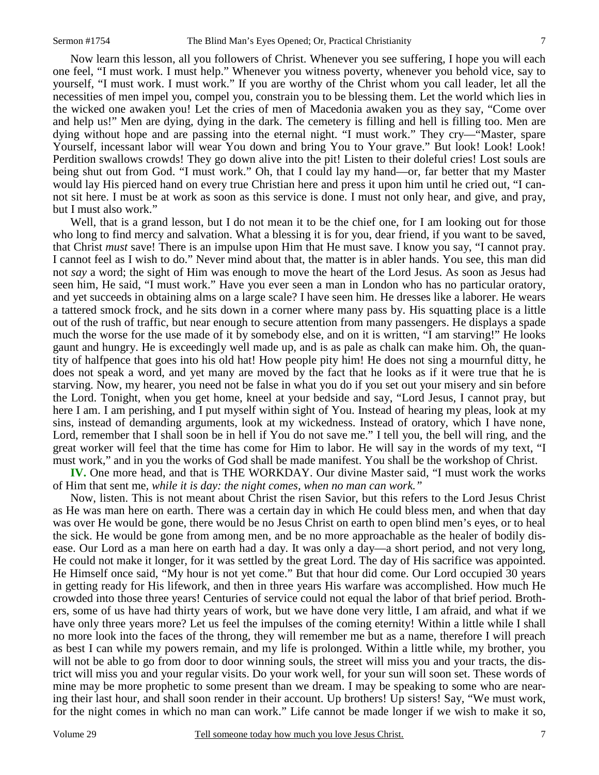Now learn this lesson, all you followers of Christ. Whenever you see suffering, I hope you will each one feel, "I must work. I must help." Whenever you witness poverty, whenever you behold vice, say to yourself, "I must work. I must work." If you are worthy of the Christ whom you call leader, let all the necessities of men impel you, compel you, constrain you to be blessing them. Let the world which lies in the wicked one awaken you! Let the cries of men of Macedonia awaken you as they say, "Come over and help us!" Men are dying, dying in the dark. The cemetery is filling and hell is filling too. Men are dying without hope and are passing into the eternal night. "I must work." They cry—"Master, spare Yourself, incessant labor will wear You down and bring You to Your grave." But look! Look! Look! Perdition swallows crowds! They go down alive into the pit! Listen to their doleful cries! Lost souls are being shut out from God. "I must work." Oh, that I could lay my hand—or, far better that my Master would lay His pierced hand on every true Christian here and press it upon him until he cried out, "I cannot sit here. I must be at work as soon as this service is done. I must not only hear, and give, and pray, but I must also work."

 Well, that is a grand lesson, but I do not mean it to be the chief one, for I am looking out for those who long to find mercy and salvation. What a blessing it is for you, dear friend, if you want to be saved, that Christ *must* save! There is an impulse upon Him that He must save. I know you say, "I cannot pray. I cannot feel as I wish to do." Never mind about that, the matter is in abler hands. You see, this man did not *say* a word; the sight of Him was enough to move the heart of the Lord Jesus. As soon as Jesus had seen him, He said, "I must work." Have you ever seen a man in London who has no particular oratory, and yet succeeds in obtaining alms on a large scale? I have seen him. He dresses like a laborer. He wears a tattered smock frock, and he sits down in a corner where many pass by. His squatting place is a little out of the rush of traffic, but near enough to secure attention from many passengers. He displays a spade much the worse for the use made of it by somebody else, and on it is written, "I am starving!" He looks gaunt and hungry. He is exceedingly well made up, and is as pale as chalk can make him. Oh, the quantity of halfpence that goes into his old hat! How people pity him! He does not sing a mournful ditty, he does not speak a word, and yet many are moved by the fact that he looks as if it were true that he is starving. Now, my hearer, you need not be false in what you do if you set out your misery and sin before the Lord. Tonight, when you get home, kneel at your bedside and say, "Lord Jesus, I cannot pray, but here I am. I am perishing, and I put myself within sight of You. Instead of hearing my pleas, look at my sins, instead of demanding arguments, look at my wickedness. Instead of oratory, which I have none, Lord, remember that I shall soon be in hell if You do not save me." I tell you, the bell will ring, and the great worker will feel that the time has come for Him to labor. He will say in the words of my text, "I must work," and in you the works of God shall be made manifest. You shall be the workshop of Christ.

**IV.** One more head, and that is THE WORKDAY. Our divine Master said, "I must work the works of Him that sent me, *while it is day: the night comes, when no man can work."*

 Now, listen. This is not meant about Christ the risen Savior, but this refers to the Lord Jesus Christ as He was man here on earth. There was a certain day in which He could bless men, and when that day was over He would be gone, there would be no Jesus Christ on earth to open blind men's eyes, or to heal the sick. He would be gone from among men, and be no more approachable as the healer of bodily disease. Our Lord as a man here on earth had a day. It was only a day—a short period, and not very long, He could not make it longer, for it was settled by the great Lord. The day of His sacrifice was appointed. He Himself once said, "My hour is not yet come." But that hour did come. Our Lord occupied 30 years in getting ready for His lifework, and then in three years His warfare was accomplished. How much He crowded into those three years! Centuries of service could not equal the labor of that brief period. Brothers, some of us have had thirty years of work, but we have done very little, I am afraid, and what if we have only three years more? Let us feel the impulses of the coming eternity! Within a little while I shall no more look into the faces of the throng, they will remember me but as a name, therefore I will preach as best I can while my powers remain, and my life is prolonged. Within a little while, my brother, you will not be able to go from door to door winning souls, the street will miss you and your tracts, the district will miss you and your regular visits. Do your work well, for your sun will soon set. These words of mine may be more prophetic to some present than we dream. I may be speaking to some who are nearing their last hour, and shall soon render in their account. Up brothers! Up sisters! Say, "We must work, for the night comes in which no man can work." Life cannot be made longer if we wish to make it so,